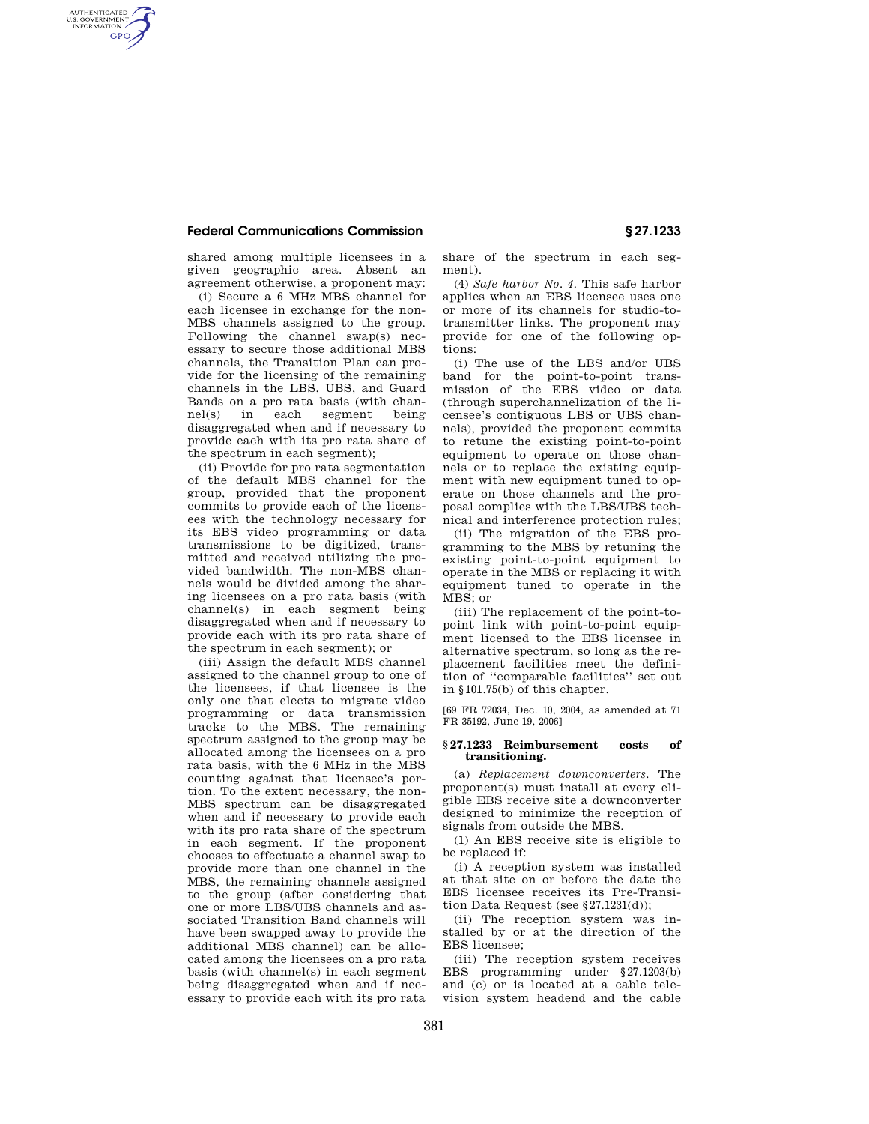## **Federal Communications Commission § 27.1233**

AUTHENTICATED<br>U.S. GOVERNMENT<br>INFORMATION **GPO** 

> shared among multiple licensees in a given geographic area. Absent an agreement otherwise, a proponent may:

(i) Secure a 6 MHz MBS channel for each licensee in exchange for the non-MBS channels assigned to the group. Following the channel swap(s) necessary to secure those additional MBS channels, the Transition Plan can provide for the licensing of the remaining channels in the LBS, UBS, and Guard Bands on a pro rata basis (with channel(s) in each segment being disaggregated when and if necessary to provide each with its pro rata share of the spectrum in each segment);

(ii) Provide for pro rata segmentation of the default MBS channel for the group, provided that the proponent commits to provide each of the licensees with the technology necessary for its EBS video programming or data transmissions to be digitized, transmitted and received utilizing the provided bandwidth. The non-MBS channels would be divided among the sharing licensees on a pro rata basis (with channel(s) in each segment being disaggregated when and if necessary to provide each with its pro rata share of the spectrum in each segment); or

(iii) Assign the default MBS channel assigned to the channel group to one of the licensees, if that licensee is the only one that elects to migrate video programming or data transmission tracks to the MBS. The remaining spectrum assigned to the group may be allocated among the licensees on a pro rata basis, with the 6 MHz in the MBS counting against that licensee's portion. To the extent necessary, the non-MBS spectrum can be disaggregated when and if necessary to provide each with its pro rata share of the spectrum in each segment. If the proponent chooses to effectuate a channel swap to provide more than one channel in the MBS, the remaining channels assigned to the group (after considering that one or more LBS/UBS channels and associated Transition Band channels will have been swapped away to provide the additional MBS channel) can be allocated among the licensees on a pro rata basis (with channel(s) in each segment being disaggregated when and if necessary to provide each with its pro rata

share of the spectrum in each segment).

(4) *Safe harbor No. 4.* This safe harbor applies when an EBS licensee uses one or more of its channels for studio-totransmitter links. The proponent may provide for one of the following options:

(i) The use of the LBS and/or UBS band for the point-to-point transmission of the EBS video or data (through superchannelization of the licensee's contiguous LBS or UBS channels), provided the proponent commits to retune the existing point-to-point equipment to operate on those channels or to replace the existing equipment with new equipment tuned to operate on those channels and the proposal complies with the LBS/UBS technical and interference protection rules;

(ii) The migration of the EBS programming to the MBS by retuning the existing point-to-point equipment to operate in the MBS or replacing it with equipment tuned to operate in the MBS; or

(iii) The replacement of the point-topoint link with point-to-point equipment licensed to the EBS licensee in alternative spectrum, so long as the replacement facilities meet the definition of ''comparable facilities'' set out in §101.75(b) of this chapter.

[69 FR 72034, Dec. 10, 2004, as amended at 71 FR 35192, June 19, 2006]

## **§ 27.1233 Reimbursement costs of transitioning.**

(a) *Replacement downconverters.* The proponent(s) must install at every eligible EBS receive site a downconverter designed to minimize the reception of signals from outside the MBS.

(1) An EBS receive site is eligible to be replaced if:

(i) A reception system was installed at that site on or before the date the EBS licensee receives its Pre-Transition Data Request (see §27.1231(d));

(ii) The reception system was installed by or at the direction of the EBS licensee;

(iii) The reception system receives EBS programming under §27.1203(b) and (c) or is located at a cable television system headend and the cable